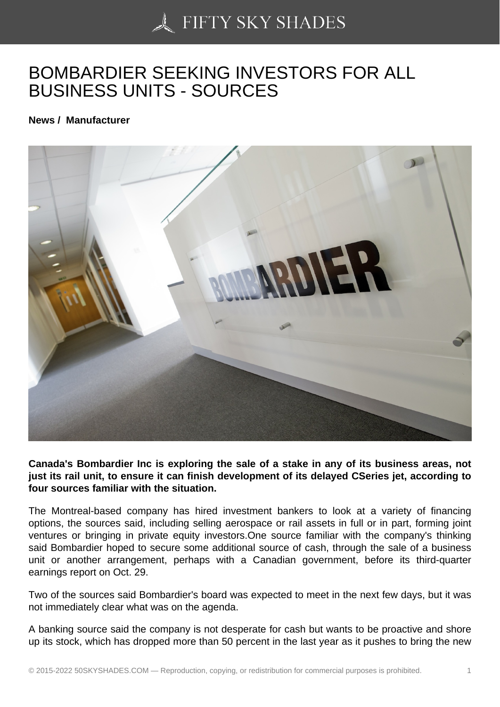## [BOMBARDIER SEEKIN](https://50skyshades.com)G INVESTORS FOR ALL BUSINESS UNITS - SOURCES

News / Manufacturer

Canada's Bombardier Inc is exploring the sale of a stake in any of its business areas, not just its rail unit, to ensure it can finish development of its delayed CSeries jet, according to four sources familiar with the situation.

The Montreal-based company has hired investment bankers to look at a variety of financing options, the sources said, including selling aerospace or rail assets in full or in part, forming joint ventures or bringing in private equity investors.One source familiar with the company's thinking said Bombardier hoped to secure some additional source of cash, through the sale of a business unit or another arrangement, perhaps with a Canadian government, before its third-quarter earnings report on Oct. 29.

Two of the sources said Bombardier's board was expected to meet in the next few days, but it was not immediately clear what was on the agenda.

A banking source said the company is not desperate for cash but wants to be proactive and shore up its stock, which has dropped more than 50 percent in the last year as it pushes to bring the new